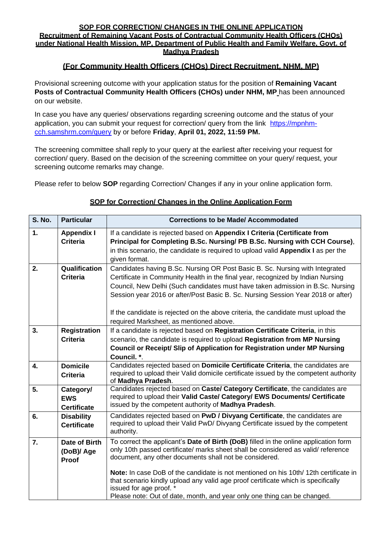#### **SOP FOR CORRECTION/ CHANGES IN THE ONLINE APPLICATION Recruitment of Remaining Vacant Posts of Contractual Community Health Officers (CHOs)**

**under National Health Mission, MP, Department of Public Health and Family Welfare, Govt. of Madhya Pradesh**

## **(For Community Health Officers (CHOs) Direct Recruitment, NHM, MP)**

Provisional screening outcome with your application status for the position of **Remaining Vacant Posts of Contractual Community Health Officers (CHOs) under NHM, MP** has been announced on our website.

In case you have any queries/ observations regarding screening outcome and the status of your application, you can submit your request for correction/ query from the link [https://mpnhm](http://mpnhm.samshrm.com/query)[cch.samshrm.com/query](http://mpnhm.samshrm.com/query) by or before **Friday**, **April 01, 2022, 11:59 PM.**

The screening committee shall reply to your query at the earliest after receiving your request for correction/ query. Based on the decision of the screening committee on your query/ request, your screening outcome remarks may change.

Please refer to below **SOP** regarding Correction/ Changes if any in your online application form.

| <b>S. No.</b> | <b>Particular</b>                             | <b>Corrections to be Made/ Accommodated</b>                                                                                                                                                                                                                                                                                                                                                                                                                                                                            |
|---------------|-----------------------------------------------|------------------------------------------------------------------------------------------------------------------------------------------------------------------------------------------------------------------------------------------------------------------------------------------------------------------------------------------------------------------------------------------------------------------------------------------------------------------------------------------------------------------------|
| 1.            | <b>Appendix I</b><br><b>Criteria</b>          | If a candidate is rejected based on Appendix I Criteria (Certificate from<br>Principal for Completing B.Sc. Nursing/ PB B.Sc. Nursing with CCH Course),<br>in this scenario, the candidate is required to upload valid Appendix I as per the<br>given format.                                                                                                                                                                                                                                                          |
| 2.            | Qualification<br><b>Criteria</b>              | Candidates having B.Sc. Nursing OR Post Basic B. Sc. Nursing with Integrated<br>Certificate in Community Health in the final year, recognized by Indian Nursing<br>Council, New Delhi (Such candidates must have taken admission in B.Sc. Nursing<br>Session year 2016 or after/Post Basic B. Sc. Nursing Session Year 2018 or after)<br>If the candidate is rejected on the above criteria, the candidate must upload the                                                                                             |
| 3.            | <b>Registration</b><br><b>Criteria</b>        | required Marksheet, as mentioned above.<br>If a candidate is rejected based on Registration Certificate Criteria, in this<br>scenario, the candidate is required to upload Registration from MP Nursing<br>Council or Receipt/ Slip of Application for Registration under MP Nursing<br>Council. *.                                                                                                                                                                                                                    |
| 4.            | <b>Domicile</b><br><b>Criteria</b>            | Candidates rejected based on Domicile Certificate Criteria, the candidates are<br>required to upload their Valid domicile certificate issued by the competent authority<br>of Madhya Pradesh.                                                                                                                                                                                                                                                                                                                          |
| 5.            | Category/<br><b>EWS</b><br><b>Certificate</b> | Candidates rejected based on Caste/ Category Certificate, the candidates are<br>required to upload their Valid Caste/ Category/ EWS Documents/ Certificate<br>issued by the competent authority of Madhya Pradesh.                                                                                                                                                                                                                                                                                                     |
| 6.            | <b>Disability</b><br><b>Certificate</b>       | Candidates rejected based on PwD / Divyang Certificate, the candidates are<br>required to upload their Valid PwD/ Divyang Certificate issued by the competent<br>authority.                                                                                                                                                                                                                                                                                                                                            |
| 7.            | Date of Birth<br>(DoB)/ Age<br>Proof          | To correct the applicant's Date of Birth (DoB) filled in the online application form<br>only 10th passed certificate/ marks sheet shall be considered as valid/ reference<br>document, any other documents shall not be considered.<br>Note: In case DoB of the candidate is not mentioned on his 10th/12th certificate in<br>that scenario kindly upload any valid age proof certificate which is specifically<br>issued for age proof. *<br>Please note: Out of date, month, and year only one thing can be changed. |

### **SOP for Correction/ Changes in the Online Application Form**